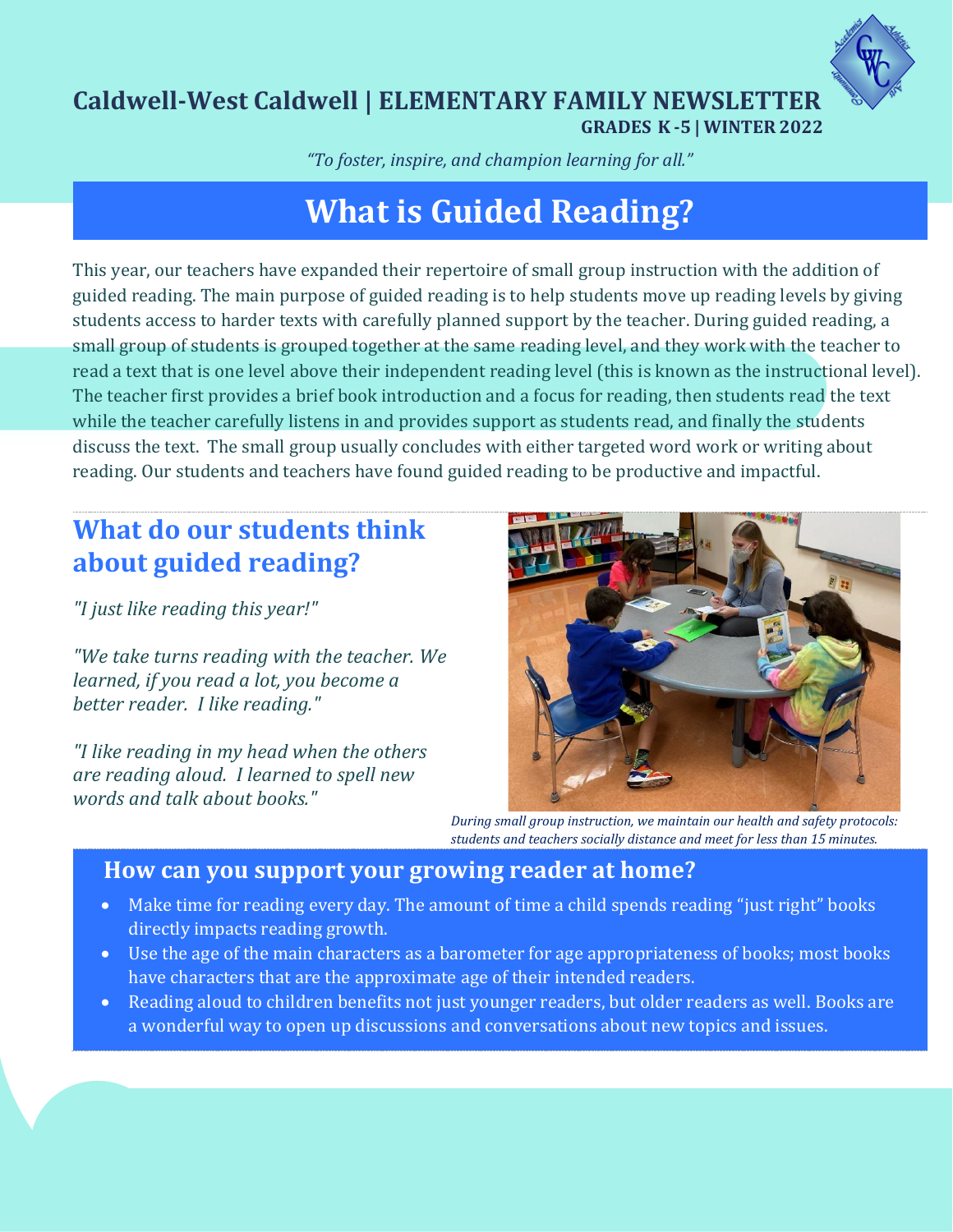

## **Caldwell-West Caldwell | ELEMENTARY FAMILY NEWSLETTER GRADES K -5 | WINTER 2022**

*"To foster, inspire, and champion learning for all."*

# **What is Guided Reading?**

This year, our teachers have expanded their repertoire of small group instruction with the addition of guided reading. The main purpose of guided reading is to help students move up reading levels by giving students access to harder texts with carefully planned support by the teacher. During guided reading, a small group of students is grouped together at the same reading level, and they work with the teacher to read a text that is one level above their independent reading level (this is known as the instructional level). The teacher first provides a brief book introduction and a focus for reading, then students read the text while the teacher carefully listens in and provides support as students read, and finally the students discuss the text. The small group usually concludes with either targeted word work or writing about reading. Our students and teachers have found guided reading to be productive and impactful.

# **What do our students think about guided reading?**

*"I just like reading this year!"*

*"We take turns reading with the teacher. We learned, if you read a lot, you become a better reader. I like reading."*

*"I like reading in my head when the others are reading aloud. I learned to spell new words and talk about books."* 



*During small group instruction, we maintain our health and safety protocols: students and teachers socially distance and meet for less than 15 minutes.* 

## **How can you support your growing reader at home?**

- Make time for reading every day. The amount of time a child spends reading "just right" books directly impacts reading growth.
- Use the age of the main characters as a barometer for age appropriateness of books; most books have characters that are the approximate age of their intended readers.
- Reading aloud to children benefits not just younger readers, but older readers as well. Books are a wonderful way to open up discussions and conversations about new topics and issues.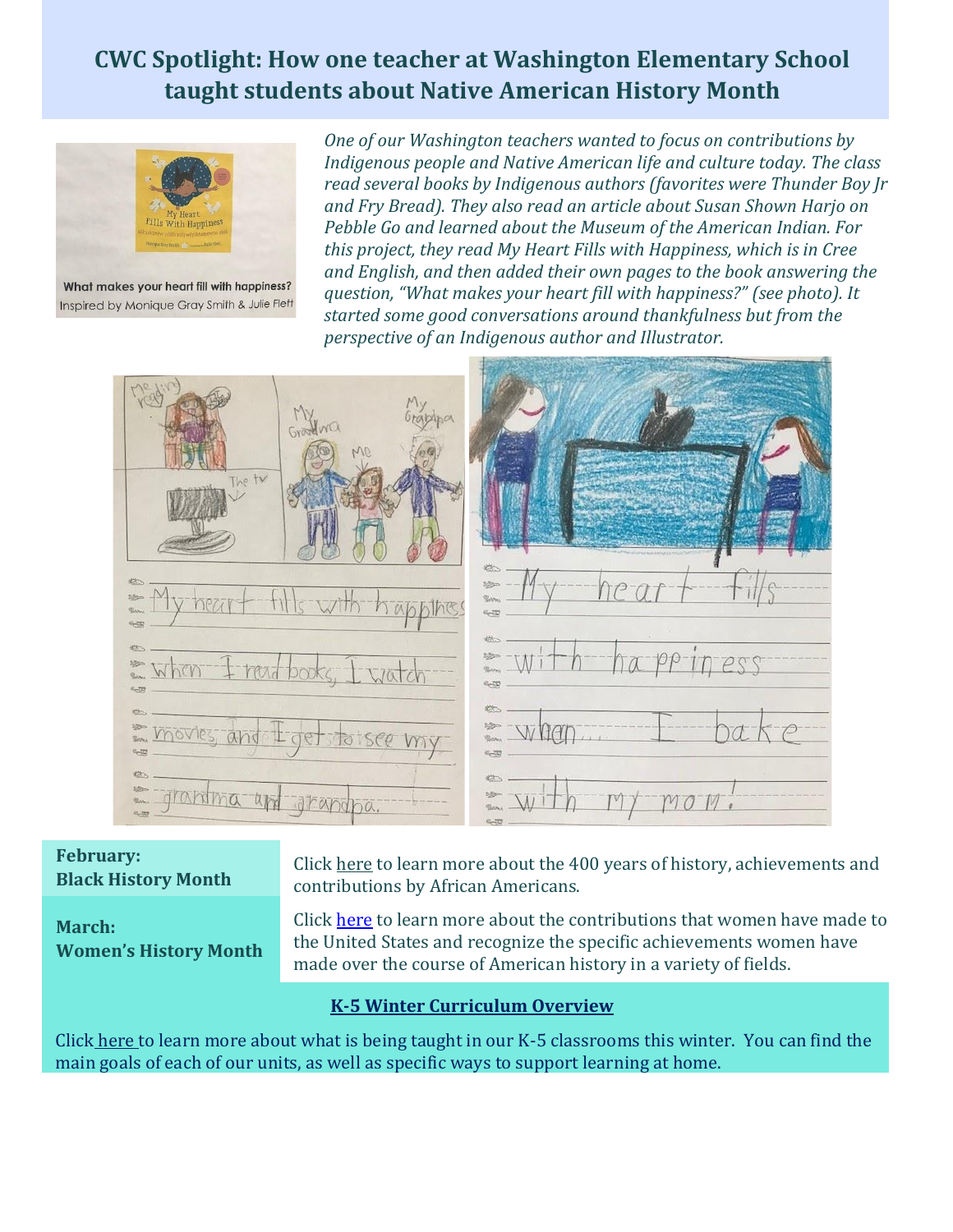# **CWC Spotlight: How one teacher at Washington Elementary School taught students about Native American History Month**



What makes your heart fill with happiness? Inspired by Monique Gray Smith & Julie Flett

*One of our Washington teachers wanted to focus on contributions by Indigenous people and Native American life and culture today. The class read several books by Indigenous authors (favorites were Thunder Boy Jr and Fry Bread). They also read an article about Susan Shown Harjo on Pebble Go and learned about the Museum of the American Indian. For this project, they read My Heart Fills with Happiness, which is in Cree and English, and then added their own pages to the book answering the question, "What makes your heart fill with happiness?" (see photo). It started some good conversations around thankfulness but from the perspective of an Indigenous author and Illustrator.*



### **February: Black History Month**

**March: Women's History Month** Click [here](https://www.africanamericanhistorymonth.gov/) to learn more about the 400 years of history, achievements and contributions by African Americans.

Click [here](https://womenshistorymonth.gov/) to learn more about the contributions that women have made to the United States and recognize the specific achievements women have made over the course of American history in a variety of fields.

### **K-5 Winter Curriculum Overview**

Click [here t](https://docs.google.com/document/d/15-cJapVaITOw6B2Qn9KTxcZ5WXh3OP58L3aYsNhnMEM/edit?usp=sharing)o learn more about what is being taught in our K-5 classrooms this winter. You can find the main goals of each of our units, as well as specific ways to support learning at home.